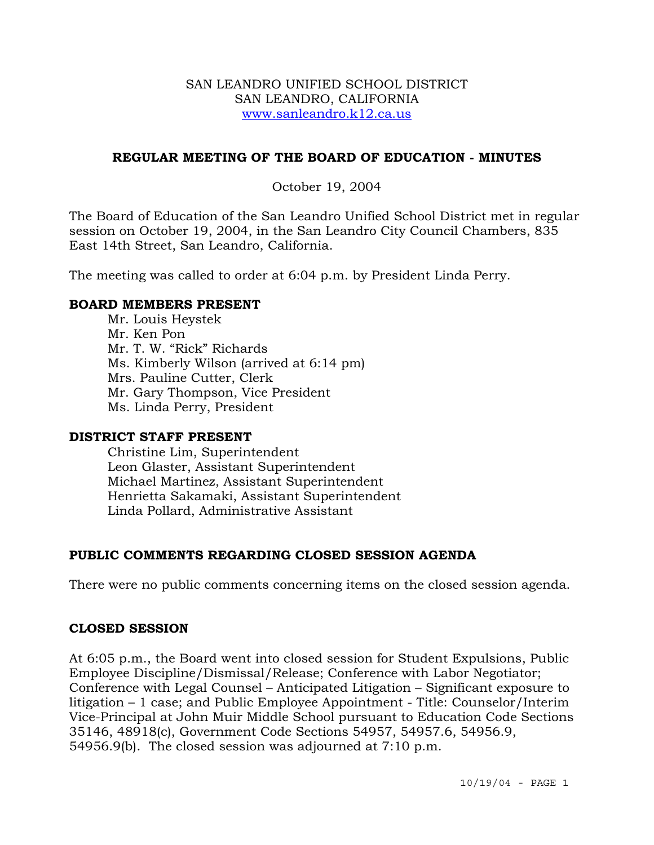### SAN LEANDRO UNIFIED SCHOOL DISTRICT SAN LEANDRO, CALIFORNIA www.sanleandro.k12.ca.us

### **REGULAR MEETING OF THE BOARD OF EDUCATION - MINUTES**

### October 19, 2004

The Board of Education of the San Leandro Unified School District met in regular session on October 19, 2004, in the San Leandro City Council Chambers, 835 East 14th Street, San Leandro, California.

The meeting was called to order at 6:04 p.m. by President Linda Perry.

### **BOARD MEMBERS PRESENT**

Mr. Louis Heystek Mr. Ken Pon Mr. T. W. "Rick" Richards Ms. Kimberly Wilson (arrived at 6:14 pm) Mrs. Pauline Cutter, Clerk Mr. Gary Thompson, Vice President Ms. Linda Perry, President

### **DISTRICT STAFF PRESENT**

Christine Lim, Superintendent Leon Glaster, Assistant Superintendent Michael Martinez, Assistant Superintendent Henrietta Sakamaki, Assistant Superintendent Linda Pollard, Administrative Assistant

# **PUBLIC COMMENTS REGARDING CLOSED SESSION AGENDA**

There were no public comments concerning items on the closed session agenda.

### **CLOSED SESSION**

At 6:05 p.m., the Board went into closed session for Student Expulsions, Public Employee Discipline/Dismissal/Release; Conference with Labor Negotiator; Conference with Legal Counsel – Anticipated Litigation – Significant exposure to litigation – 1 case; and Public Employee Appointment - Title: Counselor/Interim Vice-Principal at John Muir Middle School pursuant to Education Code Sections 35146, 48918(c), Government Code Sections 54957, 54957.6, 54956.9, 54956.9(b). The closed session was adjourned at 7:10 p.m.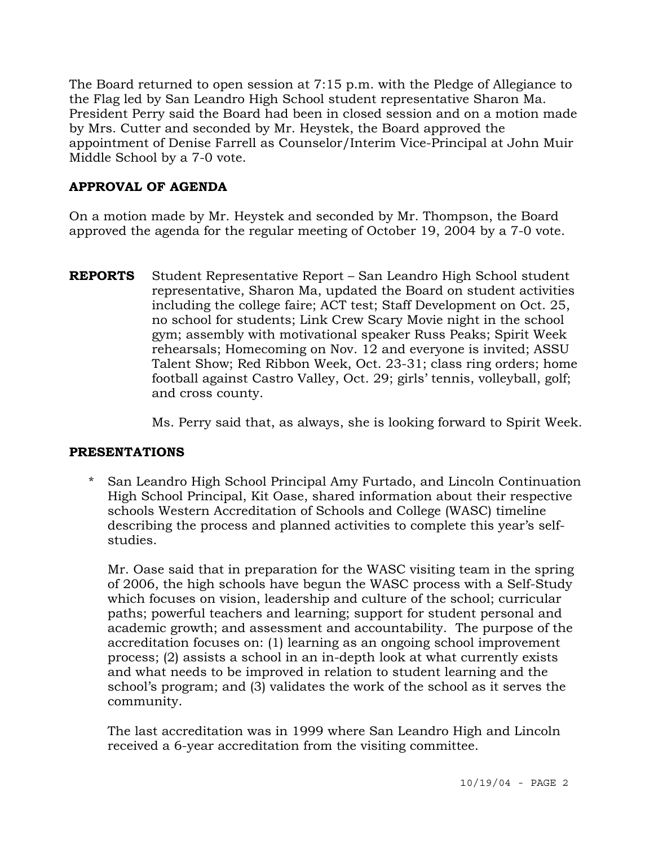The Board returned to open session at 7:15 p.m. with the Pledge of Allegiance to the Flag led by San Leandro High School student representative Sharon Ma. President Perry said the Board had been in closed session and on a motion made by Mrs. Cutter and seconded by Mr. Heystek, the Board approved the appointment of Denise Farrell as Counselor/Interim Vice-Principal at John Muir Middle School by a 7-0 vote.

# **APPROVAL OF AGENDA**

On a motion made by Mr. Heystek and seconded by Mr. Thompson, the Board approved the agenda for the regular meeting of October 19, 2004 by a 7-0 vote.

**REPORTS** Student Representative Report – San Leandro High School student representative, Sharon Ma, updated the Board on student activities including the college faire; ACT test; Staff Development on Oct. 25, no school for students; Link Crew Scary Movie night in the school gym; assembly with motivational speaker Russ Peaks; Spirit Week rehearsals; Homecoming on Nov. 12 and everyone is invited; ASSU Talent Show; Red Ribbon Week, Oct. 23-31; class ring orders; home football against Castro Valley, Oct. 29; girls' tennis, volleyball, golf; and cross county.

Ms. Perry said that, as always, she is looking forward to Spirit Week.

# **PRESENTATIONS**

\* San Leandro High School Principal Amy Furtado, and Lincoln Continuation High School Principal, Kit Oase, shared information about their respective schools Western Accreditation of Schools and College (WASC) timeline describing the process and planned activities to complete this year's selfstudies.

Mr. Oase said that in preparation for the WASC visiting team in the spring of 2006, the high schools have begun the WASC process with a Self-Study which focuses on vision, leadership and culture of the school; curricular paths; powerful teachers and learning; support for student personal and academic growth; and assessment and accountability. The purpose of the accreditation focuses on: (1) learning as an ongoing school improvement process; (2) assists a school in an in-depth look at what currently exists and what needs to be improved in relation to student learning and the school's program; and (3) validates the work of the school as it serves the community.

The last accreditation was in 1999 where San Leandro High and Lincoln received a 6-year accreditation from the visiting committee.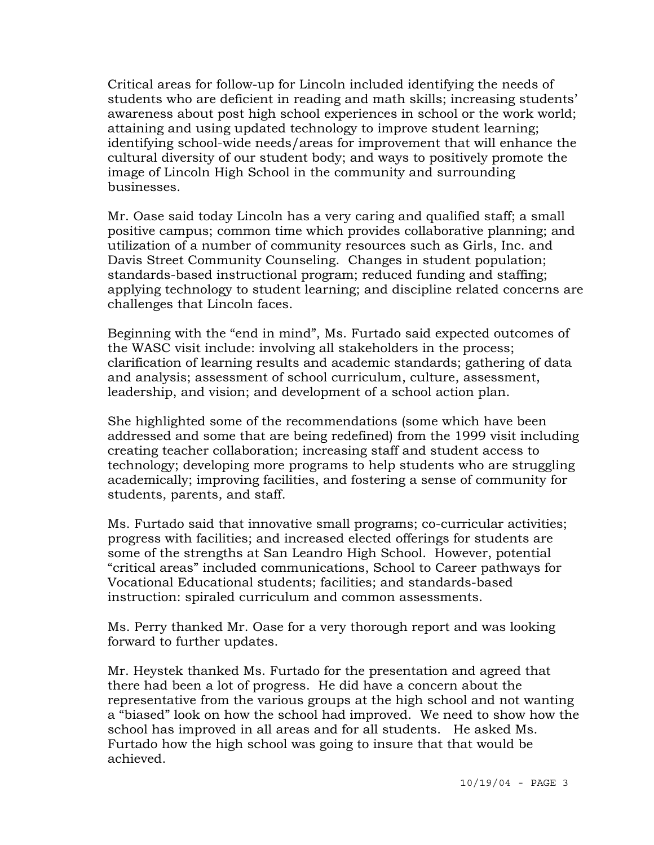Critical areas for follow-up for Lincoln included identifying the needs of students who are deficient in reading and math skills; increasing students' awareness about post high school experiences in school or the work world; attaining and using updated technology to improve student learning; identifying school-wide needs/areas for improvement that will enhance the cultural diversity of our student body; and ways to positively promote the image of Lincoln High School in the community and surrounding businesses.

Mr. Oase said today Lincoln has a very caring and qualified staff; a small positive campus; common time which provides collaborative planning; and utilization of a number of community resources such as Girls, Inc. and Davis Street Community Counseling. Changes in student population; standards-based instructional program; reduced funding and staffing; applying technology to student learning; and discipline related concerns are challenges that Lincoln faces.

Beginning with the "end in mind", Ms. Furtado said expected outcomes of the WASC visit include: involving all stakeholders in the process; clarification of learning results and academic standards; gathering of data and analysis; assessment of school curriculum, culture, assessment, leadership, and vision; and development of a school action plan.

She highlighted some of the recommendations (some which have been addressed and some that are being redefined) from the 1999 visit including creating teacher collaboration; increasing staff and student access to technology; developing more programs to help students who are struggling academically; improving facilities, and fostering a sense of community for students, parents, and staff.

Ms. Furtado said that innovative small programs; co-curricular activities; progress with facilities; and increased elected offerings for students are some of the strengths at San Leandro High School. However, potential "critical areas" included communications, School to Career pathways for Vocational Educational students; facilities; and standards-based instruction: spiraled curriculum and common assessments.

Ms. Perry thanked Mr. Oase for a very thorough report and was looking forward to further updates.

Mr. Heystek thanked Ms. Furtado for the presentation and agreed that there had been a lot of progress. He did have a concern about the representative from the various groups at the high school and not wanting a "biased" look on how the school had improved. We need to show how the school has improved in all areas and for all students. He asked Ms. Furtado how the high school was going to insure that that would be achieved.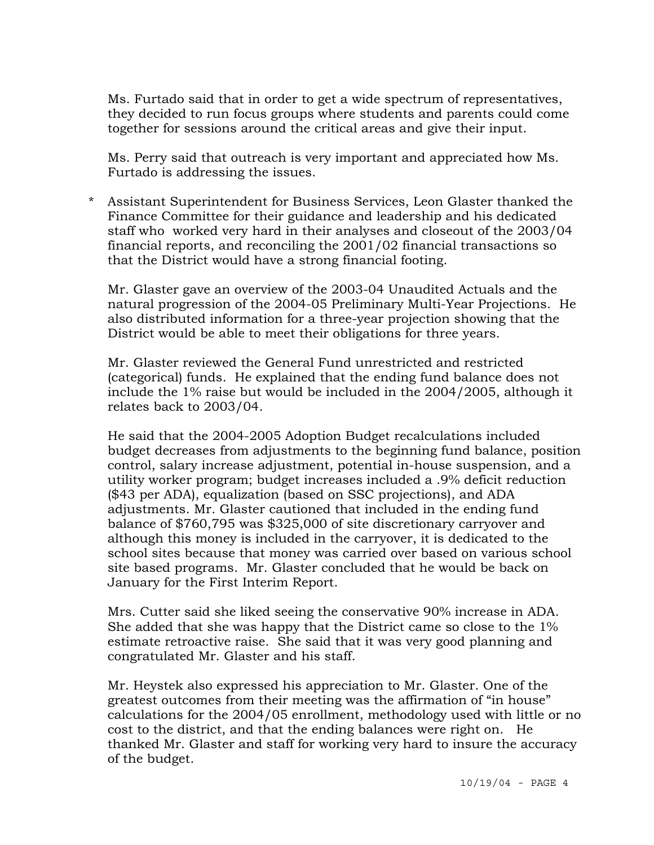Ms. Furtado said that in order to get a wide spectrum of representatives, they decided to run focus groups where students and parents could come together for sessions around the critical areas and give their input.

Ms. Perry said that outreach is very important and appreciated how Ms. Furtado is addressing the issues.

\* Assistant Superintendent for Business Services, Leon Glaster thanked the Finance Committee for their guidance and leadership and his dedicated staff who worked very hard in their analyses and closeout of the 2003/04 financial reports, and reconciling the 2001/02 financial transactions so that the District would have a strong financial footing.

Mr. Glaster gave an overview of the 2003-04 Unaudited Actuals and the natural progression of the 2004-05 Preliminary Multi-Year Projections. He also distributed information for a three-year projection showing that the District would be able to meet their obligations for three years.

Mr. Glaster reviewed the General Fund unrestricted and restricted (categorical) funds. He explained that the ending fund balance does not include the 1% raise but would be included in the 2004/2005, although it relates back to 2003/04.

He said that the 2004-2005 Adoption Budget recalculations included budget decreases from adjustments to the beginning fund balance, position control, salary increase adjustment, potential in-house suspension, and a utility worker program; budget increases included a .9% deficit reduction (\$43 per ADA), equalization (based on SSC projections), and ADA adjustments. Mr. Glaster cautioned that included in the ending fund balance of \$760,795 was \$325,000 of site discretionary carryover and although this money is included in the carryover, it is dedicated to the school sites because that money was carried over based on various school site based programs. Mr. Glaster concluded that he would be back on January for the First Interim Report.

Mrs. Cutter said she liked seeing the conservative 90% increase in ADA. She added that she was happy that the District came so close to the 1% estimate retroactive raise. She said that it was very good planning and congratulated Mr. Glaster and his staff.

Mr. Heystek also expressed his appreciation to Mr. Glaster. One of the greatest outcomes from their meeting was the affirmation of "in house" calculations for the 2004/05 enrollment, methodology used with little or no cost to the district, and that the ending balances were right on. He thanked Mr. Glaster and staff for working very hard to insure the accuracy of the budget.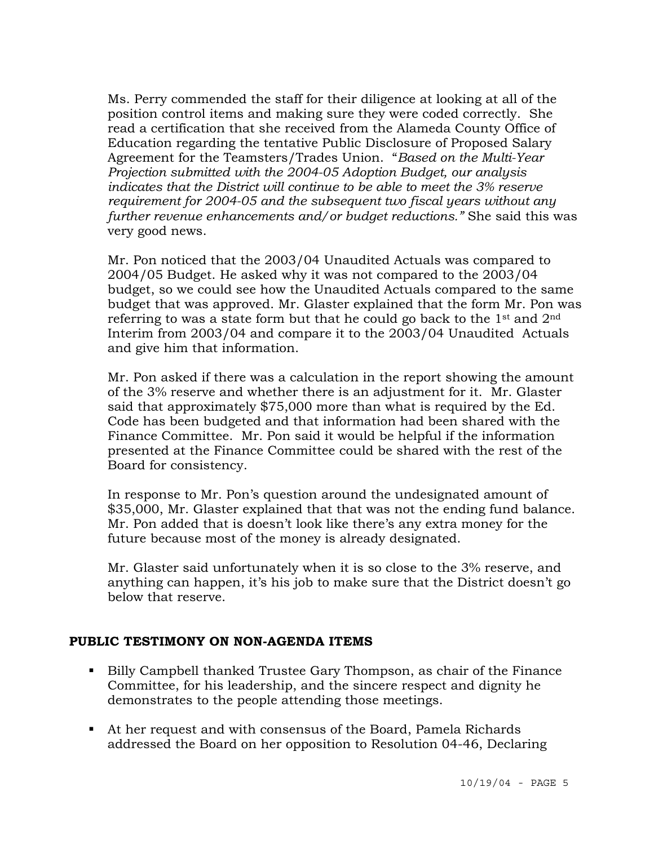Ms. Perry commended the staff for their diligence at looking at all of the position control items and making sure they were coded correctly. She read a certification that she received from the Alameda County Office of Education regarding the tentative Public Disclosure of Proposed Salary Agreement for the Teamsters/Trades Union. "*Based on the Multi-Year Projection submitted with the 2004-05 Adoption Budget, our analysis indicates that the District will continue to be able to meet the 3% reserve requirement for 2004-05 and the subsequent two fiscal years without any further revenue enhancements and/or budget reductions."* She said this was very good news.

Mr. Pon noticed that the 2003/04 Unaudited Actuals was compared to 2004/05 Budget. He asked why it was not compared to the 2003/04 budget, so we could see how the Unaudited Actuals compared to the same budget that was approved. Mr. Glaster explained that the form Mr. Pon was referring to was a state form but that he could go back to the  $1<sup>st</sup>$  and  $2<sup>nd</sup>$ Interim from 2003/04 and compare it to the 2003/04 Unaudited Actuals and give him that information.

Mr. Pon asked if there was a calculation in the report showing the amount of the 3% reserve and whether there is an adjustment for it. Mr. Glaster said that approximately \$75,000 more than what is required by the Ed. Code has been budgeted and that information had been shared with the Finance Committee. Mr. Pon said it would be helpful if the information presented at the Finance Committee could be shared with the rest of the Board for consistency.

In response to Mr. Pon's question around the undesignated amount of \$35,000, Mr. Glaster explained that that was not the ending fund balance. Mr. Pon added that is doesn't look like there's any extra money for the future because most of the money is already designated.

Mr. Glaster said unfortunately when it is so close to the 3% reserve, and anything can happen, it's his job to make sure that the District doesn't go below that reserve.

### **PUBLIC TESTIMONY ON NON-AGENDA ITEMS**

- Billy Campbell thanked Trustee Gary Thompson, as chair of the Finance Committee, for his leadership, and the sincere respect and dignity he demonstrates to the people attending those meetings.
- At her request and with consensus of the Board, Pamela Richards addressed the Board on her opposition to Resolution 04-46, Declaring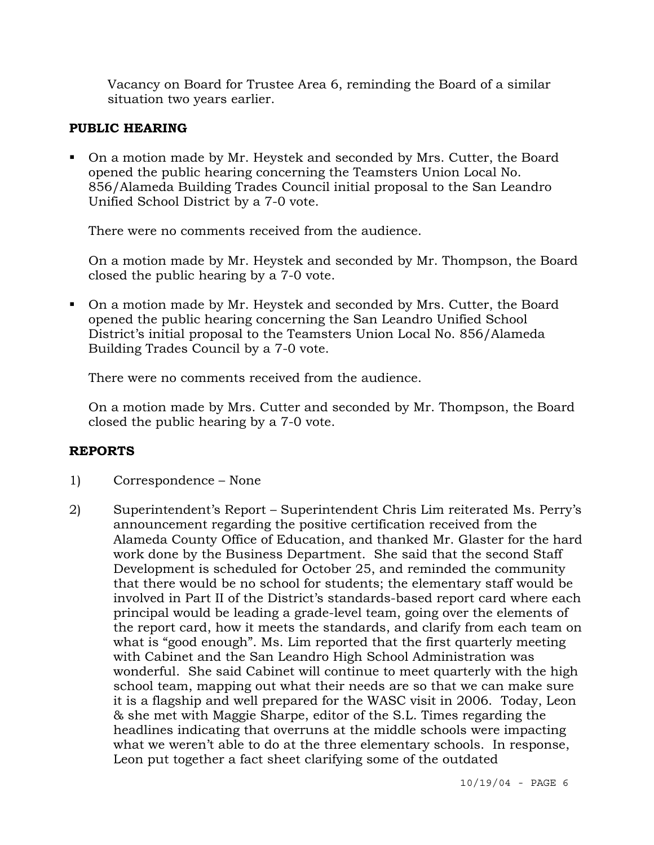Vacancy on Board for Trustee Area 6, reminding the Board of a similar situation two years earlier.

# **PUBLIC HEARING**

 On a motion made by Mr. Heystek and seconded by Mrs. Cutter, the Board opened the public hearing concerning the Teamsters Union Local No. 856/Alameda Building Trades Council initial proposal to the San Leandro Unified School District by a 7-0 vote.

There were no comments received from the audience.

On a motion made by Mr. Heystek and seconded by Mr. Thompson, the Board closed the public hearing by a 7-0 vote.

 On a motion made by Mr. Heystek and seconded by Mrs. Cutter, the Board opened the public hearing concerning the San Leandro Unified School District's initial proposal to the Teamsters Union Local No. 856/Alameda Building Trades Council by a 7-0 vote.

There were no comments received from the audience.

On a motion made by Mrs. Cutter and seconded by Mr. Thompson, the Board closed the public hearing by a 7-0 vote.

# **REPORTS**

- 1) Correspondence None
- 2) Superintendent's Report Superintendent Chris Lim reiterated Ms. Perry's announcement regarding the positive certification received from the Alameda County Office of Education, and thanked Mr. Glaster for the hard work done by the Business Department. She said that the second Staff Development is scheduled for October 25, and reminded the community that there would be no school for students; the elementary staff would be involved in Part II of the District's standards-based report card where each principal would be leading a grade-level team, going over the elements of the report card, how it meets the standards, and clarify from each team on what is "good enough". Ms. Lim reported that the first quarterly meeting with Cabinet and the San Leandro High School Administration was wonderful. She said Cabinet will continue to meet quarterly with the high school team, mapping out what their needs are so that we can make sure it is a flagship and well prepared for the WASC visit in 2006. Today, Leon & she met with Maggie Sharpe, editor of the S.L. Times regarding the headlines indicating that overruns at the middle schools were impacting what we weren't able to do at the three elementary schools. In response, Leon put together a fact sheet clarifying some of the outdated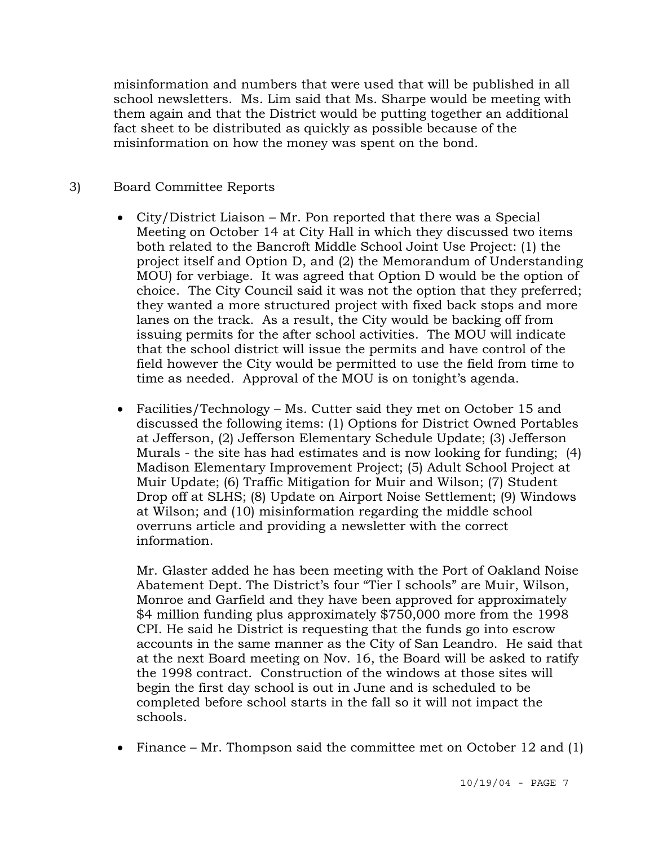misinformation and numbers that were used that will be published in all school newsletters. Ms. Lim said that Ms. Sharpe would be meeting with them again and that the District would be putting together an additional fact sheet to be distributed as quickly as possible because of the misinformation on how the money was spent on the bond.

# 3) Board Committee Reports

- City/District Liaison Mr. Pon reported that there was a Special Meeting on October 14 at City Hall in which they discussed two items both related to the Bancroft Middle School Joint Use Project: (1) the project itself and Option D, and (2) the Memorandum of Understanding MOU) for verbiage. It was agreed that Option D would be the option of choice. The City Council said it was not the option that they preferred; they wanted a more structured project with fixed back stops and more lanes on the track. As a result, the City would be backing off from issuing permits for the after school activities. The MOU will indicate that the school district will issue the permits and have control of the field however the City would be permitted to use the field from time to time as needed. Approval of the MOU is on tonight's agenda.
- Facilities/Technology Ms. Cutter said they met on October 15 and discussed the following items: (1) Options for District Owned Portables at Jefferson, (2) Jefferson Elementary Schedule Update; (3) Jefferson Murals - the site has had estimates and is now looking for funding; (4) Madison Elementary Improvement Project; (5) Adult School Project at Muir Update; (6) Traffic Mitigation for Muir and Wilson; (7) Student Drop off at SLHS; (8) Update on Airport Noise Settlement; (9) Windows at Wilson; and (10) misinformation regarding the middle school overruns article and providing a newsletter with the correct information.

Mr. Glaster added he has been meeting with the Port of Oakland Noise Abatement Dept. The District's four "Tier I schools" are Muir, Wilson, Monroe and Garfield and they have been approved for approximately \$4 million funding plus approximately \$750,000 more from the 1998 CPI. He said he District is requesting that the funds go into escrow accounts in the same manner as the City of San Leandro. He said that at the next Board meeting on Nov. 16, the Board will be asked to ratify the 1998 contract. Construction of the windows at those sites will begin the first day school is out in June and is scheduled to be completed before school starts in the fall so it will not impact the schools.

• Finance – Mr. Thompson said the committee met on October 12 and (1)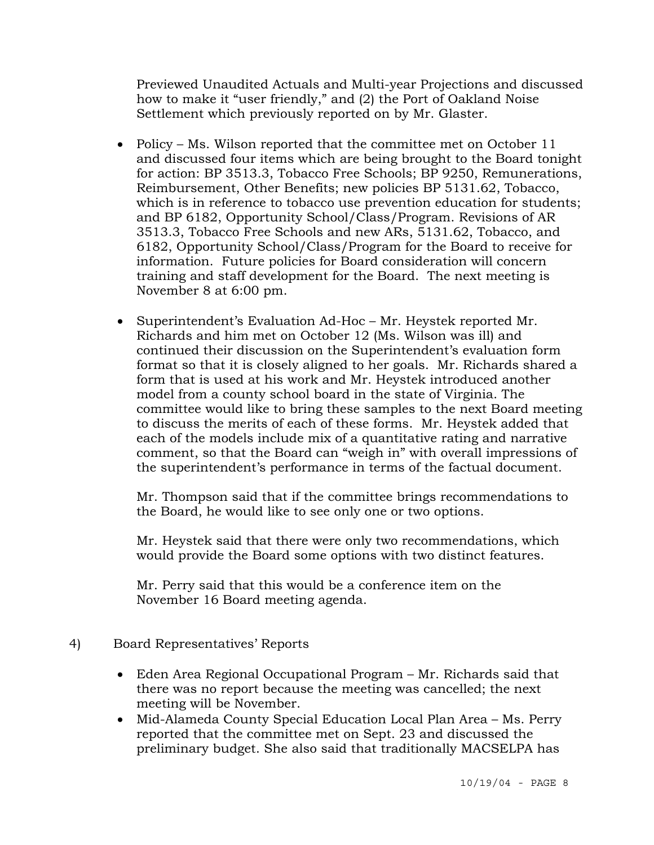Previewed Unaudited Actuals and Multi-year Projections and discussed how to make it "user friendly," and (2) the Port of Oakland Noise Settlement which previously reported on by Mr. Glaster.

- Policy Ms. Wilson reported that the committee met on October 11 and discussed four items which are being brought to the Board tonight for action: BP 3513.3, Tobacco Free Schools; BP 9250, Remunerations, Reimbursement, Other Benefits; new policies BP 5131.62, Tobacco, which is in reference to tobacco use prevention education for students; and BP 6182, Opportunity School/Class/Program. Revisions of AR 3513.3, Tobacco Free Schools and new ARs, 5131.62, Tobacco, and 6182, Opportunity School/Class/Program for the Board to receive for information. Future policies for Board consideration will concern training and staff development for the Board. The next meeting is November 8 at 6:00 pm.
- Superintendent's Evaluation Ad-Hoc Mr. Heystek reported Mr. Richards and him met on October 12 (Ms. Wilson was ill) and continued their discussion on the Superintendent's evaluation form format so that it is closely aligned to her goals. Mr. Richards shared a form that is used at his work and Mr. Heystek introduced another model from a county school board in the state of Virginia. The committee would like to bring these samples to the next Board meeting to discuss the merits of each of these forms. Mr. Heystek added that each of the models include mix of a quantitative rating and narrative comment, so that the Board can "weigh in" with overall impressions of the superintendent's performance in terms of the factual document.

 Mr. Thompson said that if the committee brings recommendations to the Board, he would like to see only one or two options.

 Mr. Heystek said that there were only two recommendations, which would provide the Board some options with two distinct features.

 Mr. Perry said that this would be a conference item on the November 16 Board meeting agenda.

- 4) Board Representatives' Reports
	- Eden Area Regional Occupational Program Mr. Richards said that there was no report because the meeting was cancelled; the next meeting will be November.
	- Mid-Alameda County Special Education Local Plan Area Ms. Perry reported that the committee met on Sept. 23 and discussed the preliminary budget. She also said that traditionally MACSELPA has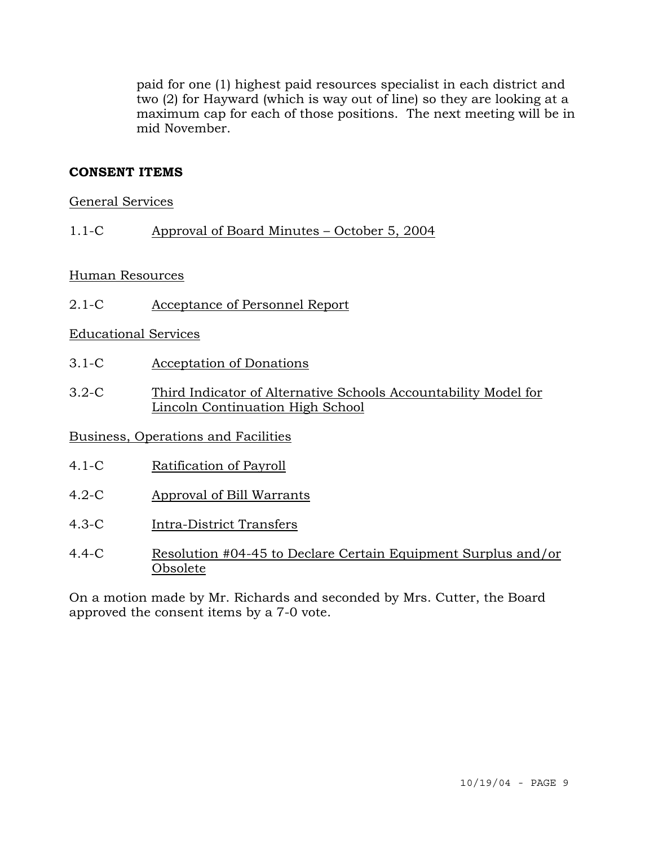paid for one (1) highest paid resources specialist in each district and two (2) for Hayward (which is way out of line) so they are looking at a maximum cap for each of those positions. The next meeting will be in mid November.

# **CONSENT ITEMS**

### General Services

1.1-C Approval of Board Minutes – October 5, 2004

### Human Resources

2.1-C Acceptance of Personnel Report

### Educational Services

- 3.1-C Acceptation of Donations
- 3.2-C Third Indicator of Alternative Schools Accountability Model for Lincoln Continuation High School

### Business, Operations and Facilities

- 4.1-C Ratification of Payroll
- 4.2-C Approval of Bill Warrants
- 4.3-C Intra-District Transfers
- 4.4-C Resolution #04-45 to Declare Certain Equipment Surplus and/or Obsolete

On a motion made by Mr. Richards and seconded by Mrs. Cutter, the Board approved the consent items by a 7-0 vote.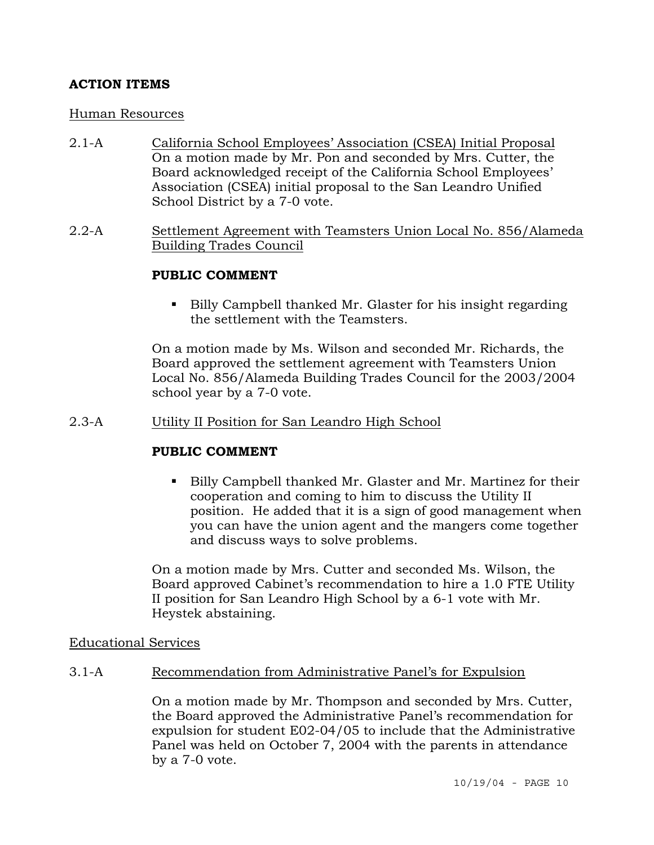# **ACTION ITEMS**

### Human Resources

- 2.1-A California School Employees' Association (CSEA) Initial Proposal On a motion made by Mr. Pon and seconded by Mrs. Cutter, the Board acknowledged receipt of the California School Employees' Association (CSEA) initial proposal to the San Leandro Unified School District by a 7-0 vote.
- 2.2-A Settlement Agreement with Teamsters Union Local No. 856/Alameda Building Trades Council

### **PUBLIC COMMENT**

■ Billy Campbell thanked Mr. Glaster for his insight regarding the settlement with the Teamsters.

On a motion made by Ms. Wilson and seconded Mr. Richards, the Board approved the settlement agreement with Teamsters Union Local No. 856/Alameda Building Trades Council for the 2003/2004 school year by a 7-0 vote.

### 2.3-A Utility II Position for San Leandro High School

### **PUBLIC COMMENT**

 Billy Campbell thanked Mr. Glaster and Mr. Martinez for their cooperation and coming to him to discuss the Utility II position. He added that it is a sign of good management when you can have the union agent and the mangers come together and discuss ways to solve problems.

On a motion made by Mrs. Cutter and seconded Ms. Wilson, the Board approved Cabinet's recommendation to hire a 1.0 FTE Utility II position for San Leandro High School by a 6-1 vote with Mr. Heystek abstaining.

### Educational Services

# 3.1-A Recommendation from Administrative Panel's for Expulsion

On a motion made by Mr. Thompson and seconded by Mrs. Cutter, the Board approved the Administrative Panel's recommendation for expulsion for student E02-04/05 to include that the Administrative Panel was held on October 7, 2004 with the parents in attendance by a 7-0 vote.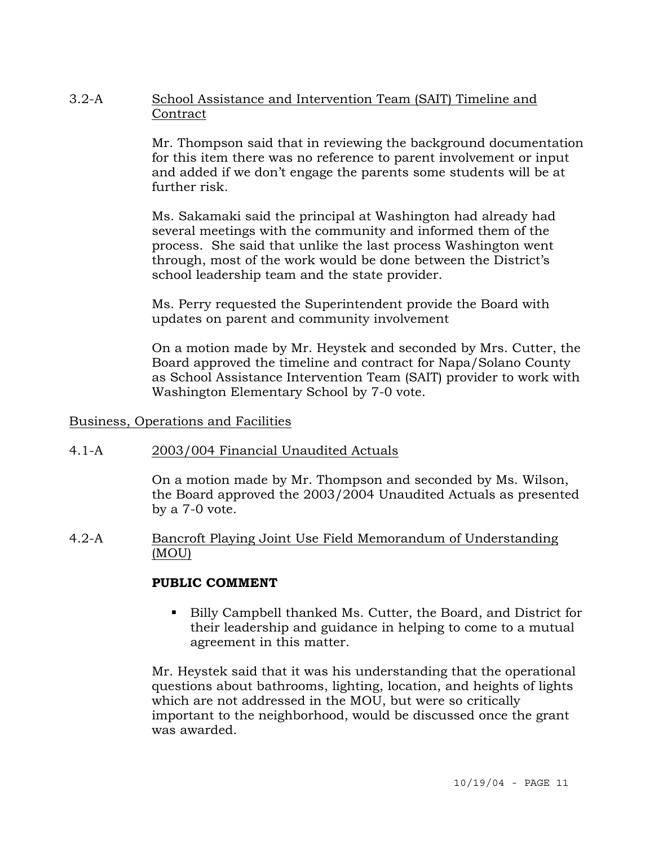### 3.2-A School Assistance and Intervention Team (SAIT) Timeline and **Contract**

Mr. Thompson said that in reviewing the background documentation for this item there was no reference to parent involvement or input and added if we don't engage the parents some students will be at further risk.

Ms. Sakamaki said the principal at Washington had already had several meetings with the community and informed them of the process. She said that unlike the last process Washington went through, most of the work would be done between the District's school leadership team and the state provider.

Ms. Perry requested the Superintendent provide the Board with updates on parent and community involvement

On a motion made by Mr. Heystek and seconded by Mrs. Cutter, the Board approved the timeline and contract for Napa/Solano County as School Assistance Intervention Team (SAIT) provider to work with Washington Elementary School by 7-0 vote.

### Business, Operations and Facilities

# 4.1-A 2003/004 Financial Unaudited Actuals

On a motion made by Mr. Thompson and seconded by Ms. Wilson, the Board approved the 2003/2004 Unaudited Actuals as presented by a 7-0 vote.

### 4.2-A Bancroft Playing Joint Use Field Memorandum of Understanding (MOU)

### **PUBLIC COMMENT**

 Billy Campbell thanked Ms. Cutter, the Board, and District for their leadership and guidance in helping to come to a mutual agreement in this matter.

Mr. Heystek said that it was his understanding that the operational questions about bathrooms, lighting, location, and heights of lights which are not addressed in the MOU, but were so critically important to the neighborhood, would be discussed once the grant was awarded.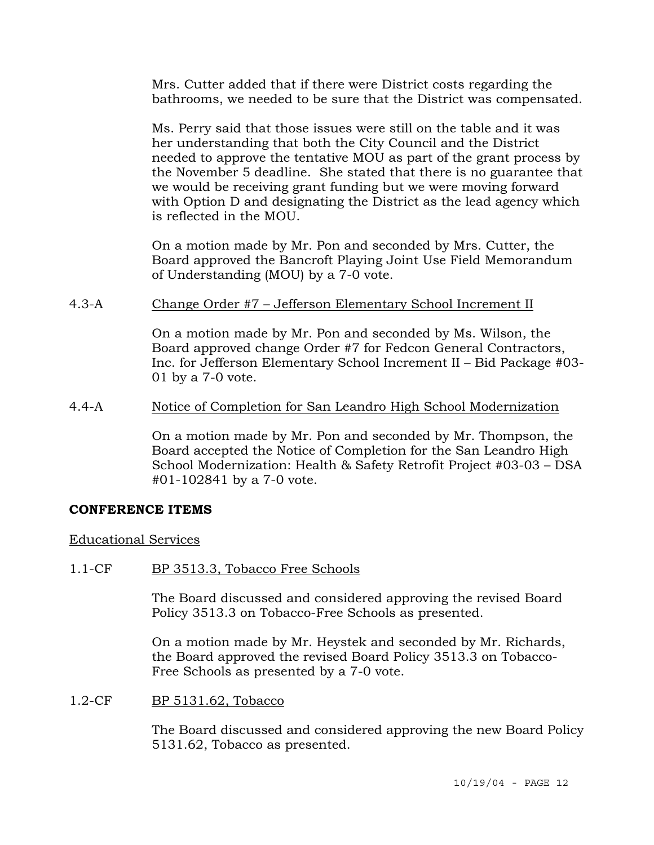Mrs. Cutter added that if there were District costs regarding the bathrooms, we needed to be sure that the District was compensated.

Ms. Perry said that those issues were still on the table and it was her understanding that both the City Council and the District needed to approve the tentative MOU as part of the grant process by the November 5 deadline. She stated that there is no guarantee that we would be receiving grant funding but we were moving forward with Option D and designating the District as the lead agency which is reflected in the MOU.

On a motion made by Mr. Pon and seconded by Mrs. Cutter, the Board approved the Bancroft Playing Joint Use Field Memorandum of Understanding (MOU) by a 7-0 vote.

4.3-A Change Order #7 – Jefferson Elementary School Increment II

On a motion made by Mr. Pon and seconded by Ms. Wilson, the Board approved change Order #7 for Fedcon General Contractors, Inc. for Jefferson Elementary School Increment II – Bid Package #03- 01 by a 7-0 vote.

4.4-A Notice of Completion for San Leandro High School Modernization

On a motion made by Mr. Pon and seconded by Mr. Thompson, the Board accepted the Notice of Completion for the San Leandro High School Modernization: Health & Safety Retrofit Project #03-03 – DSA #01-102841 by a 7-0 vote.

# **CONFERENCE ITEMS**

### Educational Services

1.1-CF BP 3513.3, Tobacco Free Schools

The Board discussed and considered approving the revised Board Policy 3513.3 on Tobacco-Free Schools as presented.

On a motion made by Mr. Heystek and seconded by Mr. Richards, the Board approved the revised Board Policy 3513.3 on Tobacco-Free Schools as presented by a 7-0 vote.

1.2-CF BP 5131.62, Tobacco

The Board discussed and considered approving the new Board Policy 5131.62, Tobacco as presented.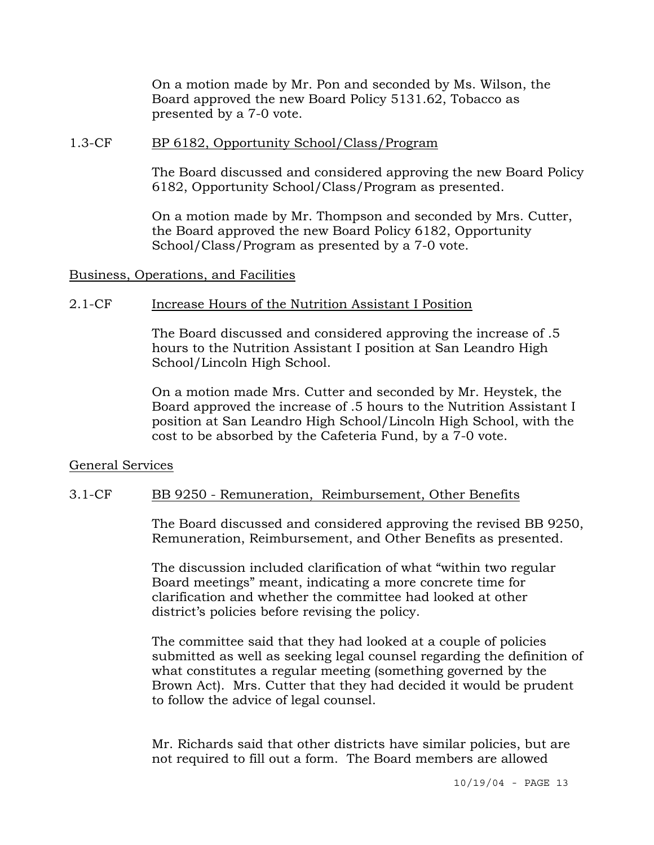On a motion made by Mr. Pon and seconded by Ms. Wilson, the Board approved the new Board Policy 5131.62, Tobacco as presented by a 7-0 vote.

#### 1.3-CF BP 6182, Opportunity School/Class/Program

The Board discussed and considered approving the new Board Policy 6182, Opportunity School/Class/Program as presented.

On a motion made by Mr. Thompson and seconded by Mrs. Cutter, the Board approved the new Board Policy 6182, Opportunity School/Class/Program as presented by a 7-0 vote.

Business, Operations, and Facilities

### 2.1-CF Increase Hours of the Nutrition Assistant I Position

The Board discussed and considered approving the increase of .5 hours to the Nutrition Assistant I position at San Leandro High School/Lincoln High School.

On a motion made Mrs. Cutter and seconded by Mr. Heystek, the Board approved the increase of .5 hours to the Nutrition Assistant I position at San Leandro High School/Lincoln High School, with the cost to be absorbed by the Cafeteria Fund, by a 7-0 vote.

### General Services

### 3.1-CF BB 9250 - Remuneration, Reimbursement, Other Benefits

The Board discussed and considered approving the revised BB 9250, Remuneration, Reimbursement, and Other Benefits as presented.

The discussion included clarification of what "within two regular Board meetings" meant, indicating a more concrete time for clarification and whether the committee had looked at other district's policies before revising the policy.

The committee said that they had looked at a couple of policies submitted as well as seeking legal counsel regarding the definition of what constitutes a regular meeting (something governed by the Brown Act). Mrs. Cutter that they had decided it would be prudent to follow the advice of legal counsel.

Mr. Richards said that other districts have similar policies, but are not required to fill out a form. The Board members are allowed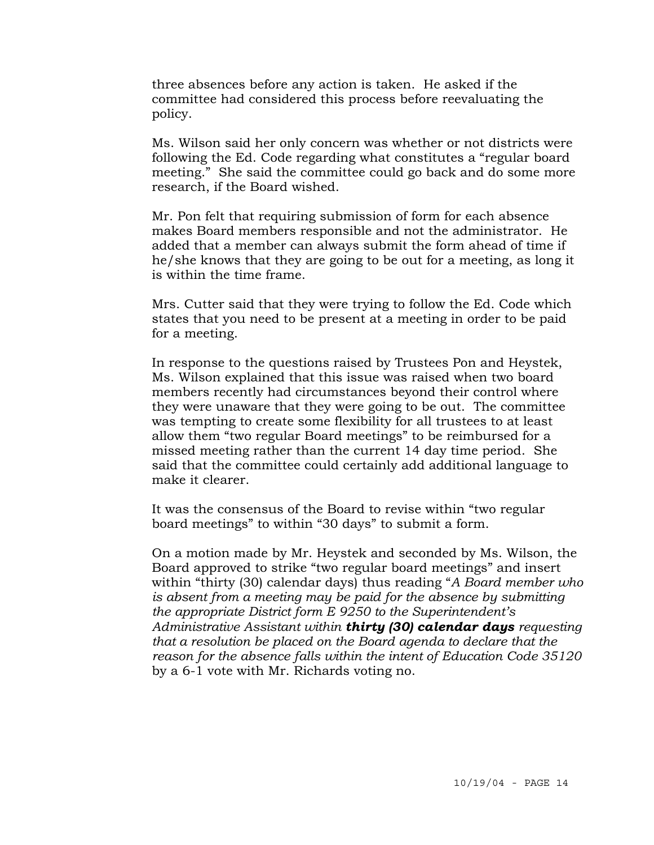three absences before any action is taken. He asked if the committee had considered this process before reevaluating the policy.

Ms. Wilson said her only concern was whether or not districts were following the Ed. Code regarding what constitutes a "regular board meeting." She said the committee could go back and do some more research, if the Board wished.

Mr. Pon felt that requiring submission of form for each absence makes Board members responsible and not the administrator. He added that a member can always submit the form ahead of time if he/she knows that they are going to be out for a meeting, as long it is within the time frame.

Mrs. Cutter said that they were trying to follow the Ed. Code which states that you need to be present at a meeting in order to be paid for a meeting.

In response to the questions raised by Trustees Pon and Heystek, Ms. Wilson explained that this issue was raised when two board members recently had circumstances beyond their control where they were unaware that they were going to be out. The committee was tempting to create some flexibility for all trustees to at least allow them "two regular Board meetings" to be reimbursed for a missed meeting rather than the current 14 day time period. She said that the committee could certainly add additional language to make it clearer.

It was the consensus of the Board to revise within "two regular board meetings" to within "30 days" to submit a form.

On a motion made by Mr. Heystek and seconded by Ms. Wilson, the Board approved to strike "two regular board meetings" and insert within "thirty (30) calendar days) thus reading "*A Board member who is absent from a meeting may be paid for the absence by submitting the appropriate District form E 9250 to the Superintendent's Administrative Assistant within thirty (30) calendar days requesting that a resolution be placed on the Board agenda to declare that the reason for the absence falls within the intent of Education Code 35120* by a 6-1 vote with Mr. Richards voting no.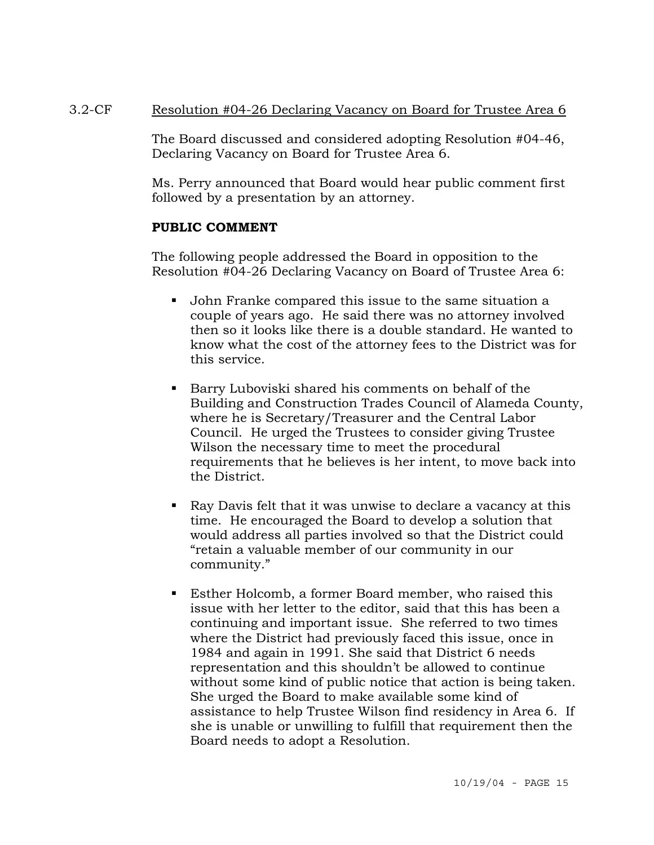### 3.2-CF Resolution #04-26 Declaring Vacancy on Board for Trustee Area 6

The Board discussed and considered adopting Resolution #04-46, Declaring Vacancy on Board for Trustee Area 6.

Ms. Perry announced that Board would hear public comment first followed by a presentation by an attorney.

### **PUBLIC COMMENT**

The following people addressed the Board in opposition to the Resolution #04-26 Declaring Vacancy on Board of Trustee Area 6:

- John Franke compared this issue to the same situation a couple of years ago. He said there was no attorney involved then so it looks like there is a double standard. He wanted to know what the cost of the attorney fees to the District was for this service.
- Barry Luboviski shared his comments on behalf of the Building and Construction Trades Council of Alameda County, where he is Secretary/Treasurer and the Central Labor Council. He urged the Trustees to consider giving Trustee Wilson the necessary time to meet the procedural requirements that he believes is her intent, to move back into the District.
- Ray Davis felt that it was unwise to declare a vacancy at this time. He encouraged the Board to develop a solution that would address all parties involved so that the District could "retain a valuable member of our community in our community."
- Esther Holcomb, a former Board member, who raised this issue with her letter to the editor, said that this has been a continuing and important issue. She referred to two times where the District had previously faced this issue, once in 1984 and again in 1991. She said that District 6 needs representation and this shouldn't be allowed to continue without some kind of public notice that action is being taken. She urged the Board to make available some kind of assistance to help Trustee Wilson find residency in Area 6. If she is unable or unwilling to fulfill that requirement then the Board needs to adopt a Resolution.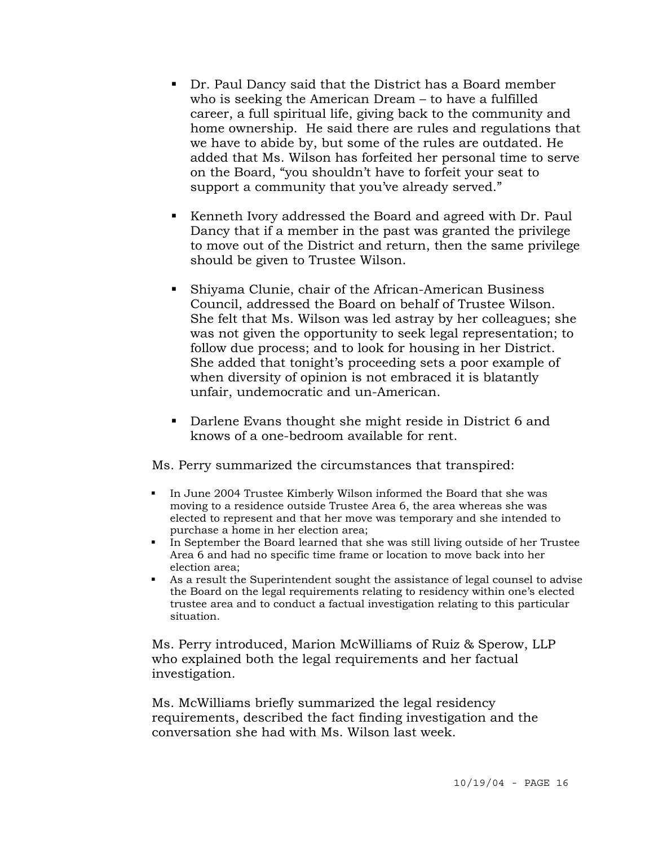- Dr. Paul Dancy said that the District has a Board member who is seeking the American Dream – to have a fulfilled career, a full spiritual life, giving back to the community and home ownership. He said there are rules and regulations that we have to abide by, but some of the rules are outdated. He added that Ms. Wilson has forfeited her personal time to serve on the Board, "you shouldn't have to forfeit your seat to support a community that you've already served."
- Kenneth Ivory addressed the Board and agreed with Dr. Paul Dancy that if a member in the past was granted the privilege to move out of the District and return, then the same privilege should be given to Trustee Wilson.
- Shiyama Clunie, chair of the African-American Business Council, addressed the Board on behalf of Trustee Wilson. She felt that Ms. Wilson was led astray by her colleagues; she was not given the opportunity to seek legal representation; to follow due process; and to look for housing in her District. She added that tonight's proceeding sets a poor example of when diversity of opinion is not embraced it is blatantly unfair, undemocratic and un-American.
- Darlene Evans thought she might reside in District 6 and knows of a one-bedroom available for rent.

Ms. Perry summarized the circumstances that transpired:

- In June 2004 Trustee Kimberly Wilson informed the Board that she was moving to a residence outside Trustee Area 6, the area whereas she was elected to represent and that her move was temporary and she intended to purchase a home in her election area;
- In September the Board learned that she was still living outside of her Trustee Area 6 and had no specific time frame or location to move back into her election area;
- As a result the Superintendent sought the assistance of legal counsel to advise the Board on the legal requirements relating to residency within one's elected trustee area and to conduct a factual investigation relating to this particular situation.

Ms. Perry introduced, Marion McWilliams of Ruiz & Sperow, LLP who explained both the legal requirements and her factual investigation.

Ms. McWilliams briefly summarized the legal residency requirements, described the fact finding investigation and the conversation she had with Ms. Wilson last week.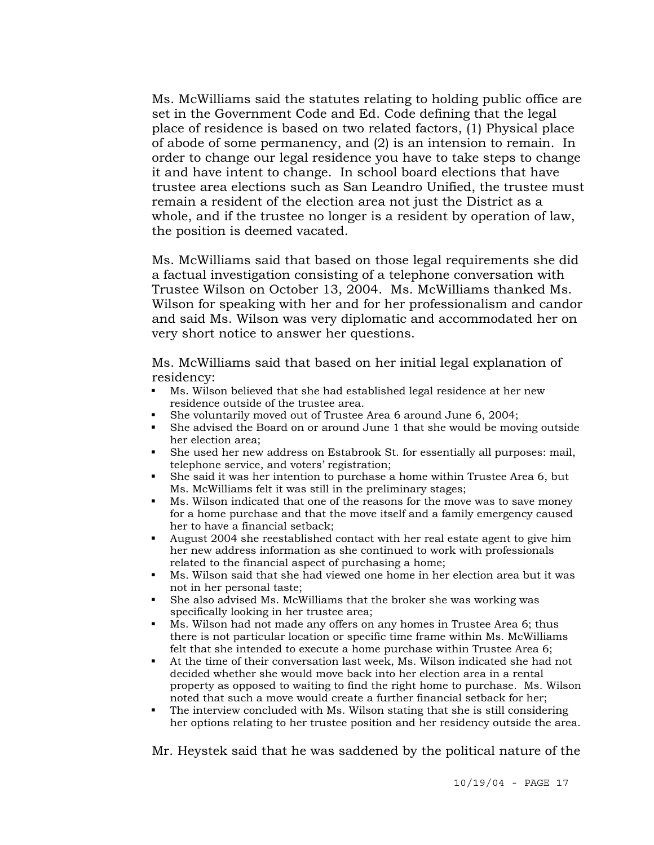Ms. McWilliams said the statutes relating to holding public office are set in the Government Code and Ed. Code defining that the legal place of residence is based on two related factors, (1) Physical place of abode of some permanency, and (2) is an intension to remain. In order to change our legal residence you have to take steps to change it and have intent to change. In school board elections that have trustee area elections such as San Leandro Unified, the trustee must remain a resident of the election area not just the District as a whole, and if the trustee no longer is a resident by operation of law, the position is deemed vacated.

Ms. McWilliams said that based on those legal requirements she did a factual investigation consisting of a telephone conversation with Trustee Wilson on October 13, 2004. Ms. McWilliams thanked Ms. Wilson for speaking with her and for her professionalism and candor and said Ms. Wilson was very diplomatic and accommodated her on very short notice to answer her questions.

Ms. McWilliams said that based on her initial legal explanation of residency:

- Ms. Wilson believed that she had established legal residence at her new residence outside of the trustee area.
- She voluntarily moved out of Trustee Area 6 around June 6, 2004;<br>She advised the Board on or around June 1 that she would be move
- She advised the Board on or around June 1 that she would be moving outside her election area;
- She used her new address on Estabrook St. for essentially all purposes: mail, telephone service, and voters' registration;
- She said it was her intention to purchase a home within Trustee Area 6, but Ms. McWilliams felt it was still in the preliminary stages;
- Ms. Wilson indicated that one of the reasons for the move was to save money for a home purchase and that the move itself and a family emergency caused her to have a financial setback;
- August 2004 she reestablished contact with her real estate agent to give him her new address information as she continued to work with professionals related to the financial aspect of purchasing a home;
- Ms. Wilson said that she had viewed one home in her election area but it was not in her personal taste;
- She also advised Ms. McWilliams that the broker she was working was specifically looking in her trustee area;
- Ms. Wilson had not made any offers on any homes in Trustee Area 6; thus there is not particular location or specific time frame within Ms. McWilliams felt that she intended to execute a home purchase within Trustee Area 6;
- At the time of their conversation last week, Ms. Wilson indicated she had not decided whether she would move back into her election area in a rental property as opposed to waiting to find the right home to purchase. Ms. Wilson noted that such a move would create a further financial setback for her;
- The interview concluded with Ms. Wilson stating that she is still considering her options relating to her trustee position and her residency outside the area.

Mr. Heystek said that he was saddened by the political nature of the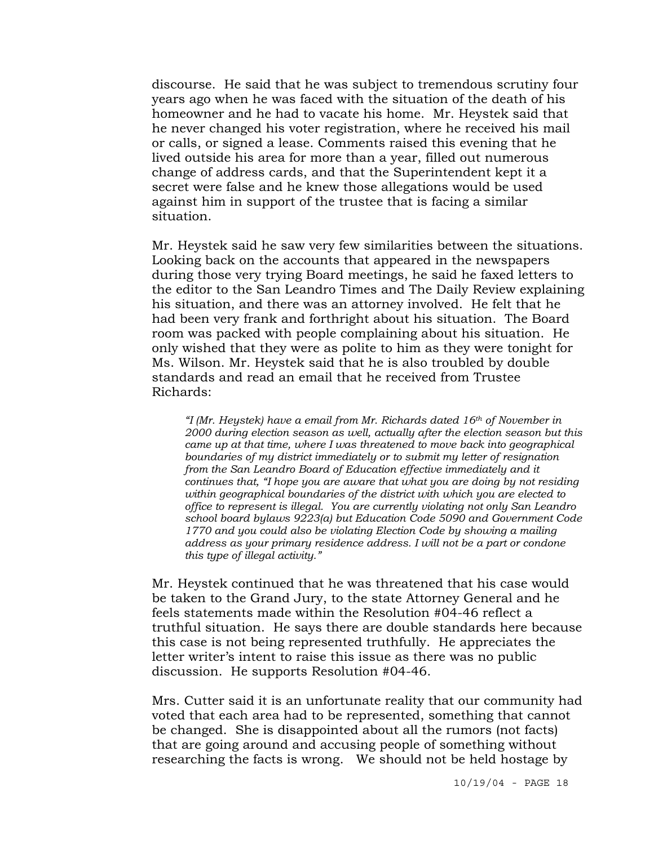discourse. He said that he was subject to tremendous scrutiny four years ago when he was faced with the situation of the death of his homeowner and he had to vacate his home. Mr. Heystek said that he never changed his voter registration, where he received his mail or calls, or signed a lease. Comments raised this evening that he lived outside his area for more than a year, filled out numerous change of address cards, and that the Superintendent kept it a secret were false and he knew those allegations would be used against him in support of the trustee that is facing a similar situation.

Mr. Heystek said he saw very few similarities between the situations. Looking back on the accounts that appeared in the newspapers during those very trying Board meetings, he said he faxed letters to the editor to the San Leandro Times and The Daily Review explaining his situation, and there was an attorney involved. He felt that he had been very frank and forthright about his situation. The Board room was packed with people complaining about his situation. He only wished that they were as polite to him as they were tonight for Ms. Wilson. Mr. Heystek said that he is also troubled by double standards and read an email that he received from Trustee Richards:

*"I (Mr. Heystek) have a email from Mr. Richards dated 16th of November in 2000 during election season as well, actually after the election season but this came up at that time, where I was threatened to move back into geographical boundaries of my district immediately or to submit my letter of resignation from the San Leandro Board of Education effective immediately and it continues that, "I hope you are aware that what you are doing by not residing within geographical boundaries of the district with which you are elected to office to represent is illegal. You are currently violating not only San Leandro school board bylaws 9223(a) but Education Code 5090 and Government Code 1770 and you could also be violating Election Code by showing a mailing address as your primary residence address. I will not be a part or condone this type of illegal activity."* 

Mr. Heystek continued that he was threatened that his case would be taken to the Grand Jury, to the state Attorney General and he feels statements made within the Resolution #04-46 reflect a truthful situation. He says there are double standards here because this case is not being represented truthfully. He appreciates the letter writer's intent to raise this issue as there was no public discussion. He supports Resolution #04-46.

Mrs. Cutter said it is an unfortunate reality that our community had voted that each area had to be represented, something that cannot be changed. She is disappointed about all the rumors (not facts) that are going around and accusing people of something without researching the facts is wrong. We should not be held hostage by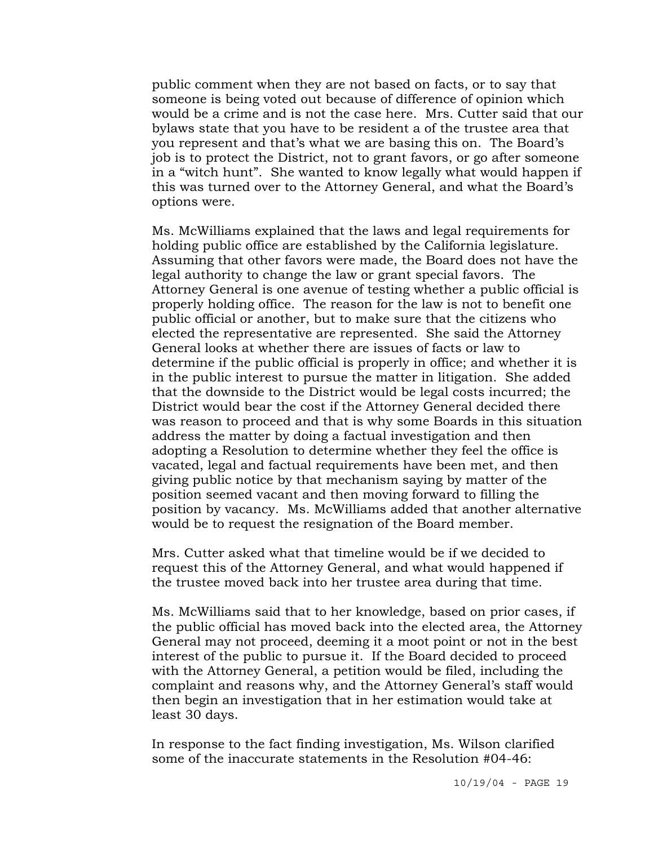public comment when they are not based on facts, or to say that someone is being voted out because of difference of opinion which would be a crime and is not the case here. Mrs. Cutter said that our bylaws state that you have to be resident a of the trustee area that you represent and that's what we are basing this on. The Board's job is to protect the District, not to grant favors, or go after someone in a "witch hunt". She wanted to know legally what would happen if this was turned over to the Attorney General, and what the Board's options were.

Ms. McWilliams explained that the laws and legal requirements for holding public office are established by the California legislature. Assuming that other favors were made, the Board does not have the legal authority to change the law or grant special favors. The Attorney General is one avenue of testing whether a public official is properly holding office. The reason for the law is not to benefit one public official or another, but to make sure that the citizens who elected the representative are represented. She said the Attorney General looks at whether there are issues of facts or law to determine if the public official is properly in office; and whether it is in the public interest to pursue the matter in litigation. She added that the downside to the District would be legal costs incurred; the District would bear the cost if the Attorney General decided there was reason to proceed and that is why some Boards in this situation address the matter by doing a factual investigation and then adopting a Resolution to determine whether they feel the office is vacated, legal and factual requirements have been met, and then giving public notice by that mechanism saying by matter of the position seemed vacant and then moving forward to filling the position by vacancy. Ms. McWilliams added that another alternative would be to request the resignation of the Board member.

Mrs. Cutter asked what that timeline would be if we decided to request this of the Attorney General, and what would happened if the trustee moved back into her trustee area during that time.

Ms. McWilliams said that to her knowledge, based on prior cases, if the public official has moved back into the elected area, the Attorney General may not proceed, deeming it a moot point or not in the best interest of the public to pursue it. If the Board decided to proceed with the Attorney General, a petition would be filed, including the complaint and reasons why, and the Attorney General's staff would then begin an investigation that in her estimation would take at least 30 days.

In response to the fact finding investigation, Ms. Wilson clarified some of the inaccurate statements in the Resolution #04-46: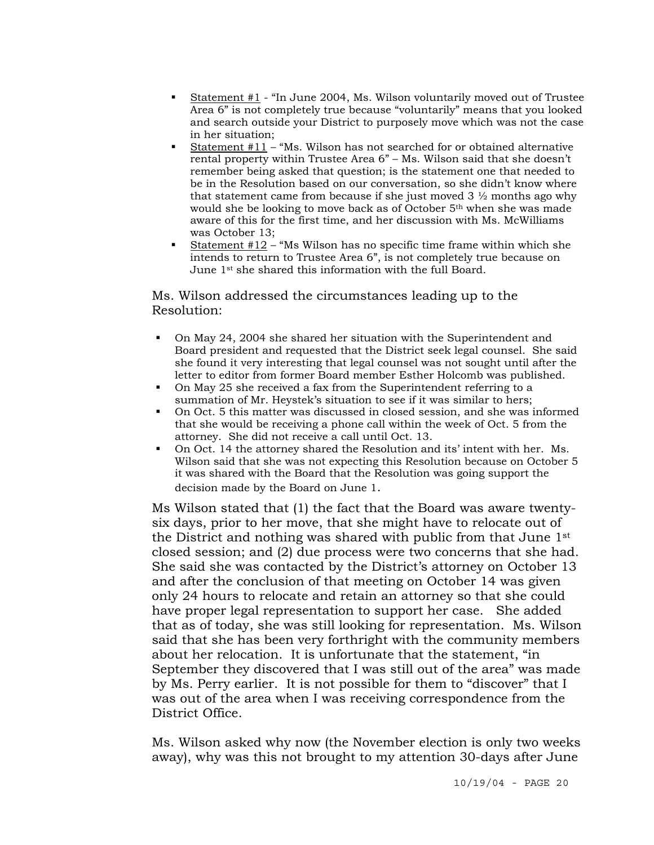- Statement #1 "In June 2004, Ms. Wilson voluntarily moved out of Trustee Area 6" is not completely true because "voluntarily" means that you looked and search outside your District to purposely move which was not the case in her situation;
- Statement #11 "Ms. Wilson has not searched for or obtained alternative rental property within Trustee Area 6" – Ms. Wilson said that she doesn't remember being asked that question; is the statement one that needed to be in the Resolution based on our conversation, so she didn't know where that statement came from because if she just moved  $3 \frac{1}{2}$  months ago why would she be looking to move back as of October 5th when she was made aware of this for the first time, and her discussion with Ms. McWilliams was October 13;
- Statement  $#12$  "Ms Wilson has no specific time frame within which she intends to return to Trustee Area 6", is not completely true because on June 1st she shared this information with the full Board.

### Ms. Wilson addressed the circumstances leading up to the Resolution:

- On May 24, 2004 she shared her situation with the Superintendent and Board president and requested that the District seek legal counsel. She said she found it very interesting that legal counsel was not sought until after the letter to editor from former Board member Esther Holcomb was published.
- On May 25 she received a fax from the Superintendent referring to a summation of Mr. Heystek's situation to see if it was similar to hers;
- On Oct. 5 this matter was discussed in closed session, and she was informed that she would be receiving a phone call within the week of Oct. 5 from the attorney. She did not receive a call until Oct. 13.
- On Oct. 14 the attorney shared the Resolution and its' intent with her. Ms. Wilson said that she was not expecting this Resolution because on October 5 it was shared with the Board that the Resolution was going support the decision made by the Board on June 1.

Ms Wilson stated that (1) the fact that the Board was aware twentysix days, prior to her move, that she might have to relocate out of the District and nothing was shared with public from that June 1st closed session; and (2) due process were two concerns that she had. She said she was contacted by the District's attorney on October 13 and after the conclusion of that meeting on October 14 was given only 24 hours to relocate and retain an attorney so that she could have proper legal representation to support her case. She added that as of today, she was still looking for representation. Ms. Wilson said that she has been very forthright with the community members about her relocation. It is unfortunate that the statement, "in September they discovered that I was still out of the area" was made by Ms. Perry earlier. It is not possible for them to "discover" that I was out of the area when I was receiving correspondence from the District Office.

Ms. Wilson asked why now (the November election is only two weeks away), why was this not brought to my attention 30-days after June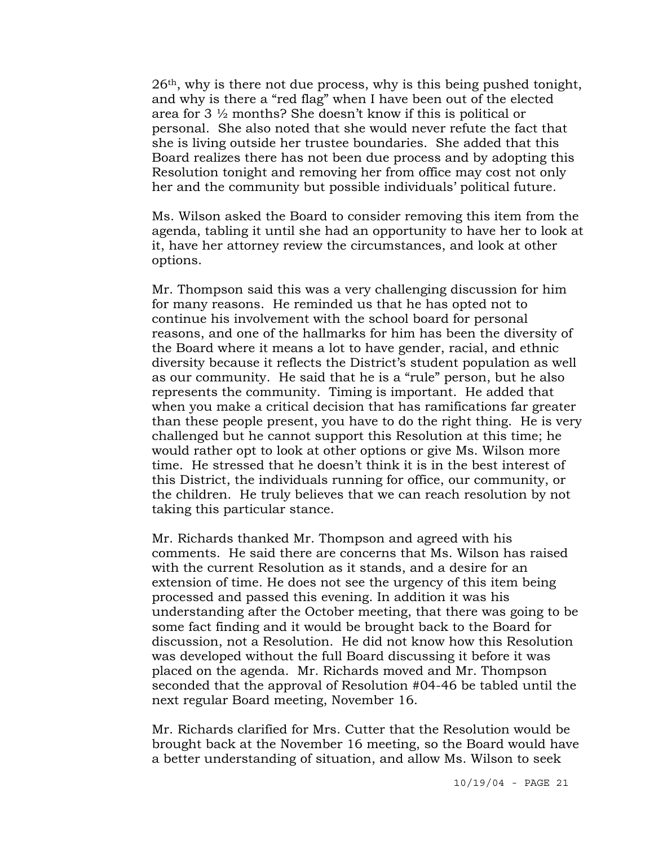26th, why is there not due process, why is this being pushed tonight, and why is there a "red flag" when I have been out of the elected area for 3 ½ months? She doesn't know if this is political or personal. She also noted that she would never refute the fact that she is living outside her trustee boundaries. She added that this Board realizes there has not been due process and by adopting this Resolution tonight and removing her from office may cost not only her and the community but possible individuals' political future.

Ms. Wilson asked the Board to consider removing this item from the agenda, tabling it until she had an opportunity to have her to look at it, have her attorney review the circumstances, and look at other options.

Mr. Thompson said this was a very challenging discussion for him for many reasons. He reminded us that he has opted not to continue his involvement with the school board for personal reasons, and one of the hallmarks for him has been the diversity of the Board where it means a lot to have gender, racial, and ethnic diversity because it reflects the District's student population as well as our community. He said that he is a "rule" person, but he also represents the community. Timing is important. He added that when you make a critical decision that has ramifications far greater than these people present, you have to do the right thing. He is very challenged but he cannot support this Resolution at this time; he would rather opt to look at other options or give Ms. Wilson more time. He stressed that he doesn't think it is in the best interest of this District, the individuals running for office, our community, or the children. He truly believes that we can reach resolution by not taking this particular stance.

Mr. Richards thanked Mr. Thompson and agreed with his comments. He said there are concerns that Ms. Wilson has raised with the current Resolution as it stands, and a desire for an extension of time. He does not see the urgency of this item being processed and passed this evening. In addition it was his understanding after the October meeting, that there was going to be some fact finding and it would be brought back to the Board for discussion, not a Resolution. He did not know how this Resolution was developed without the full Board discussing it before it was placed on the agenda. Mr. Richards moved and Mr. Thompson seconded that the approval of Resolution #04-46 be tabled until the next regular Board meeting, November 16.

Mr. Richards clarified for Mrs. Cutter that the Resolution would be brought back at the November 16 meeting, so the Board would have a better understanding of situation, and allow Ms. Wilson to seek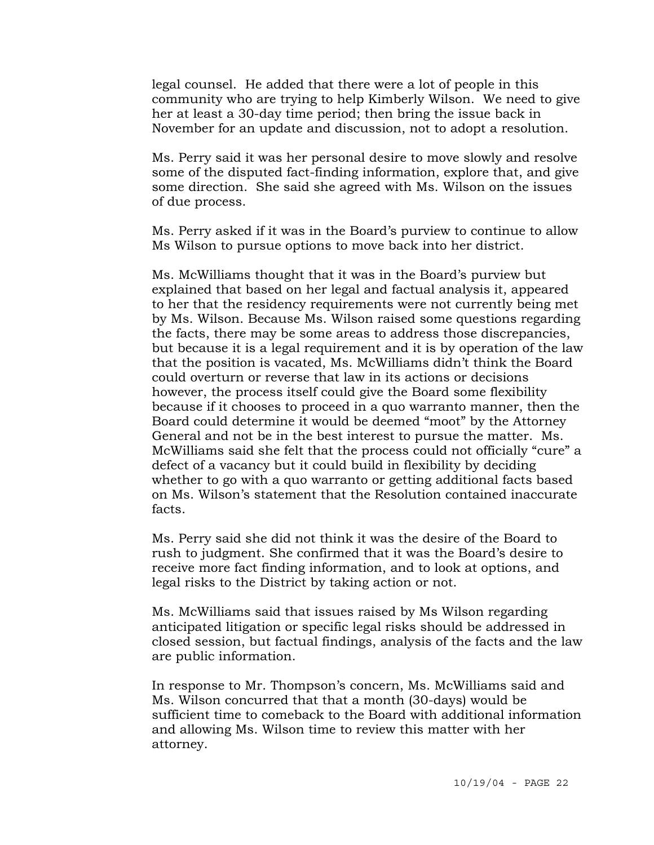legal counsel. He added that there were a lot of people in this community who are trying to help Kimberly Wilson. We need to give her at least a 30-day time period; then bring the issue back in November for an update and discussion, not to adopt a resolution.

Ms. Perry said it was her personal desire to move slowly and resolve some of the disputed fact-finding information, explore that, and give some direction. She said she agreed with Ms. Wilson on the issues of due process.

Ms. Perry asked if it was in the Board's purview to continue to allow Ms Wilson to pursue options to move back into her district.

Ms. McWilliams thought that it was in the Board's purview but explained that based on her legal and factual analysis it, appeared to her that the residency requirements were not currently being met by Ms. Wilson. Because Ms. Wilson raised some questions regarding the facts, there may be some areas to address those discrepancies, but because it is a legal requirement and it is by operation of the law that the position is vacated, Ms. McWilliams didn't think the Board could overturn or reverse that law in its actions or decisions however, the process itself could give the Board some flexibility because if it chooses to proceed in a quo warranto manner, then the Board could determine it would be deemed "moot" by the Attorney General and not be in the best interest to pursue the matter. Ms. McWilliams said she felt that the process could not officially "cure" a defect of a vacancy but it could build in flexibility by deciding whether to go with a quo warranto or getting additional facts based on Ms. Wilson's statement that the Resolution contained inaccurate facts.

Ms. Perry said she did not think it was the desire of the Board to rush to judgment. She confirmed that it was the Board's desire to receive more fact finding information, and to look at options, and legal risks to the District by taking action or not.

Ms. McWilliams said that issues raised by Ms Wilson regarding anticipated litigation or specific legal risks should be addressed in closed session, but factual findings, analysis of the facts and the law are public information.

In response to Mr. Thompson's concern, Ms. McWilliams said and Ms. Wilson concurred that that a month (30-days) would be sufficient time to comeback to the Board with additional information and allowing Ms. Wilson time to review this matter with her attorney.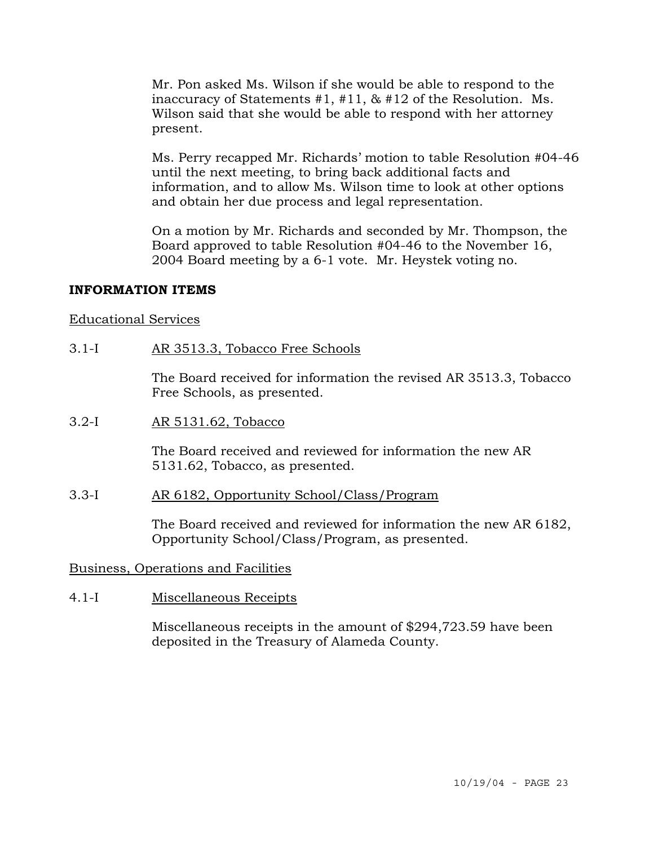Mr. Pon asked Ms. Wilson if she would be able to respond to the inaccuracy of Statements #1, #11, & #12 of the Resolution. Ms. Wilson said that she would be able to respond with her attorney present.

Ms. Perry recapped Mr. Richards' motion to table Resolution #04-46 until the next meeting, to bring back additional facts and information, and to allow Ms. Wilson time to look at other options and obtain her due process and legal representation.

On a motion by Mr. Richards and seconded by Mr. Thompson, the Board approved to table Resolution #04-46 to the November 16, 2004 Board meeting by a 6-1 vote. Mr. Heystek voting no.

### **INFORMATION ITEMS**

### Educational Services

3.1-I AR 3513.3, Tobacco Free Schools

The Board received for information the revised AR 3513.3, Tobacco Free Schools, as presented.

3.2-I AR 5131.62, Tobacco

The Board received and reviewed for information the new AR 5131.62, Tobacco, as presented.

### 3.3-I AR 6182, Opportunity School/Class/Program

The Board received and reviewed for information the new AR 6182, Opportunity School/Class/Program, as presented.

# Business, Operations and Facilities

4.1-I Miscellaneous Receipts

Miscellaneous receipts in the amount of \$294,723.59 have been deposited in the Treasury of Alameda County.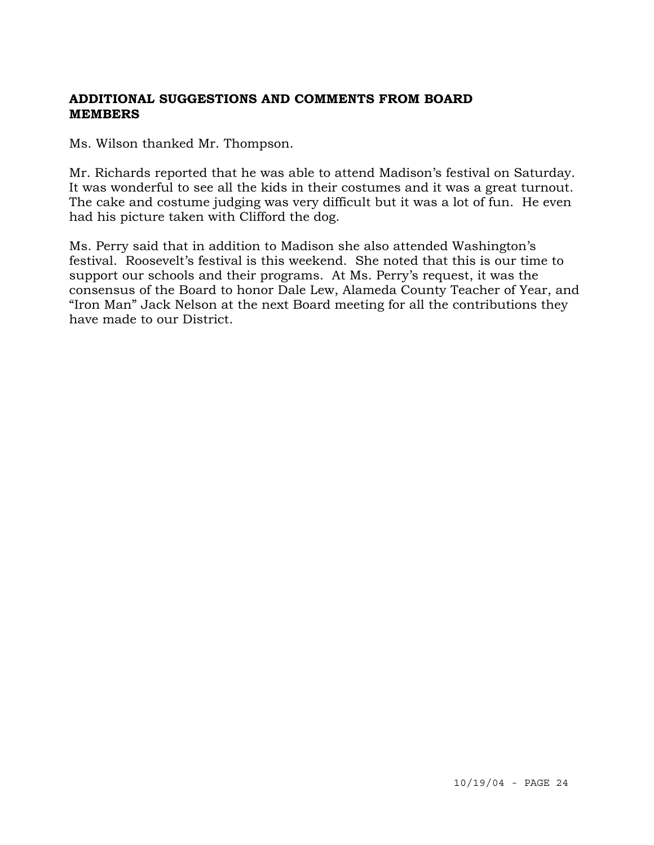# **ADDITIONAL SUGGESTIONS AND COMMENTS FROM BOARD MEMBERS**

Ms. Wilson thanked Mr. Thompson.

Mr. Richards reported that he was able to attend Madison's festival on Saturday. It was wonderful to see all the kids in their costumes and it was a great turnout. The cake and costume judging was very difficult but it was a lot of fun. He even had his picture taken with Clifford the dog.

Ms. Perry said that in addition to Madison she also attended Washington's festival. Roosevelt's festival is this weekend. She noted that this is our time to support our schools and their programs. At Ms. Perry's request, it was the consensus of the Board to honor Dale Lew, Alameda County Teacher of Year, and "Iron Man" Jack Nelson at the next Board meeting for all the contributions they have made to our District.